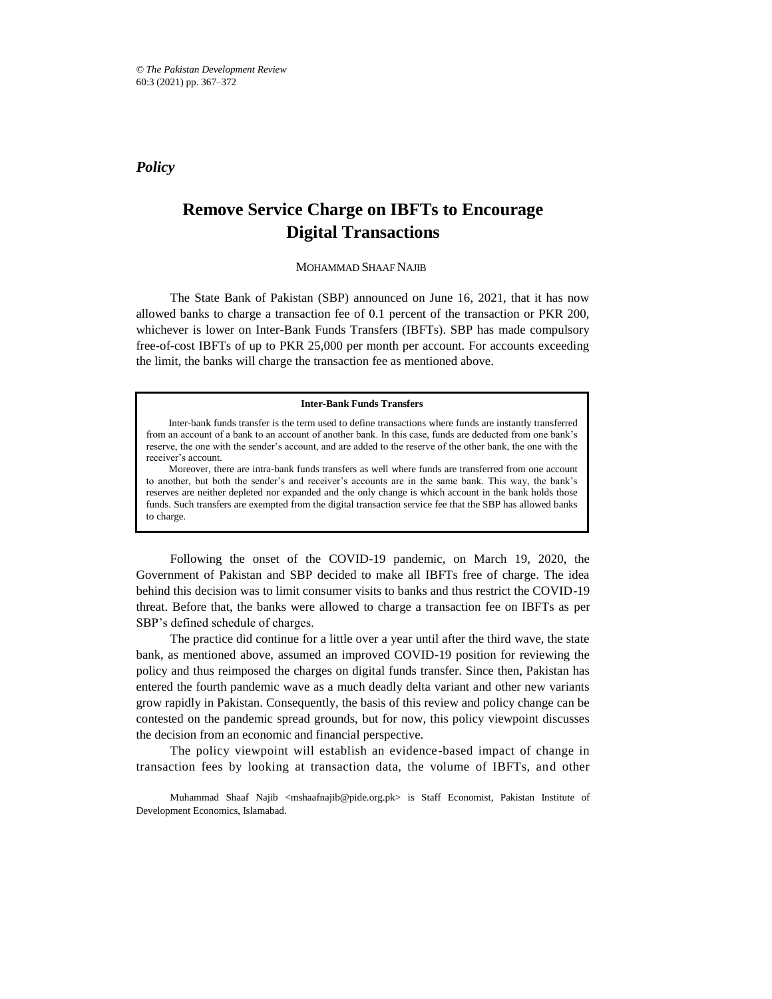*Policy*

# **Remove Service Charge on IBFTs to Encourage Digital Transactions**

## MOHAMMAD SHAAF NAJIB\*

The State Bank of Pakistan (SBP) announced on June 16, 2021, that it has now allowed banks to charge a transaction fee of 0.1 percent of the transaction or PKR 200, whichever is lower on Inter-Bank Funds Transfers (IBFTs). SBP has made compulsory free-of-cost IBFTs of up to PKR 25,000 per month per account. For accounts exceeding the limit, the banks will charge the transaction fee as mentioned above.

#### **Inter-Bank Funds Transfers**

Inter-bank funds transfer is the term used to define transactions where funds are instantly transferred from an account of a bank to an account of another bank. In this case, funds are deducted from one bank's reserve, the one with the sender's account, and are added to the reserve of the other bank, the one with the receiver's account.

Moreover, there are intra-bank funds transfers as well where funds are transferred from one account to another, but both the sender's and receiver's accounts are in the same bank. This way, the bank's reserves are neither depleted nor expanded and the only change is which account in the bank holds those funds. Such transfers are exempted from the digital transaction service fee that the SBP has allowed banks to charge.

Following the onset of the COVID-19 pandemic, on March 19, 2020, the Government of Pakistan and SBP decided to make all IBFTs free of charge. The idea behind this decision was to limit consumer visits to banks and thus restrict the COVID-19 threat. Before that, the banks were allowed to charge a transaction fee on IBFTs as per SBP's defined schedule of charges.

The practice did continue for a little over a year until after the third wave, the state bank, as mentioned above, assumed an improved COVID-19 position for reviewing the policy and thus reimposed the charges on digital funds transfer. Since then, Pakistan has entered the fourth pandemic wave as a much deadly delta variant and other new variants grow rapidly in Pakistan. Consequently, the basis of this review and policy change can be contested on the pandemic spread grounds, but for now, this policy viewpoint discusses the decision from an economic and financial perspective.

The policy viewpoint will establish an evidence-based impact of change in transaction fees by looking at transaction data, the volume of IBFTs, and other

Muhammad Shaaf Najib <mshaafnajib@pide.org.pk> is Staff Economist, Pakistan Institute of Development Economics, Islamabad.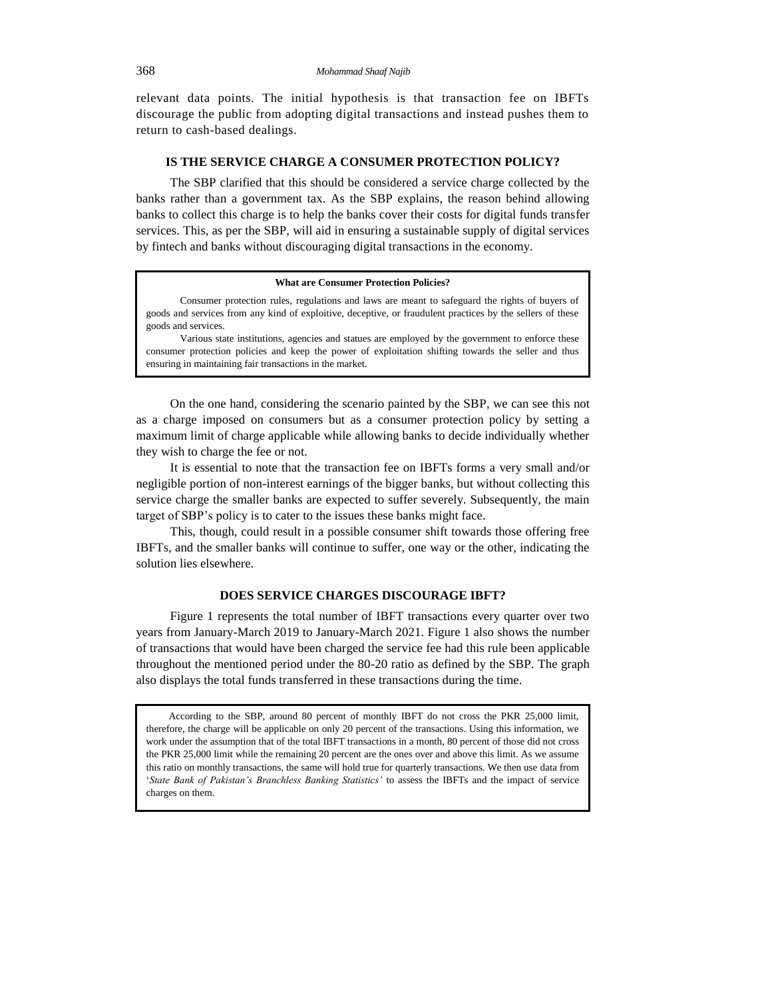relevant data points. The initial hypothesis is that transaction fee on IBFTs discourage the public from adopting digital transactions and instead pushes them to return to cash-based dealings.

# **IS THE SERVICE CHARGE A CONSUMER PROTECTION POLICY?**

The SBP clarified that this should be considered a service charge collected by the banks rather than a government tax. As the SBP explains, the reason behind allowing banks to collect this charge is to help the banks cover their costs for digital funds transfer services. This, as per the SBP, will aid in ensuring a sustainable supply of digital services by fintech and banks without discouraging digital transactions in the economy.

#### **What are Consumer Protection Policies?**

Consumer protection rules, regulations and laws are meant to safeguard the rights of buyers of goods and services from any kind of exploitive, deceptive, or fraudulent practices by the sellers of these goods and services.

Various state institutions, agencies and statues are employed by the government to enforce these consumer protection policies and keep the power of exploitation shifting towards the seller and thus ensuring in maintaining fair transactions in the market.

On the one hand, considering the scenario painted by the SBP, we can see this not as a charge imposed on consumers but as a consumer protection policy by setting a maximum limit of charge applicable while allowing banks to decide individually whether they wish to charge the fee or not.

It is essential to note that the transaction fee on IBFTs forms a very small and/or negligible portion of non-interest earnings of the bigger banks, but without collecting this service charge the smaller banks are expected to suffer severely. Subsequently, the main target of SBP's policy is to cater to the issues these banks might face.

This, though, could result in a possible consumer shift towards those offering free IBFTs, and the smaller banks will continue to suffer, one way or the other, indicating the solution lies elsewhere.

#### **DOES SERVICE CHARGES DISCOURAGE IBFT?**

Figure 1 represents the total number of IBFT transactions every quarter over two years from January-March 2019 to January-March 2021. Figure 1 also shows the number of transactions that would have been charged the service fee had this rule been applicable throughout the mentioned period under the 80-20 ratio as defined by the SBP. The graph also displays the total funds transferred in these transactions during the time.

According to the SBP, around 80 percent of monthly IBFT do not cross the PKR 25,000 limit, therefore, the charge will be applicable on only 20 percent of the transactions. Using this information, we work under the assumption that of the total IBFT transactions in a month, 80 percent of those did not cross the PKR 25,000 limit while the remaining 20 percent are the ones over and above this limit. As we assume this ratio on monthly transactions, the same will hold true for quarterly transactions. We then use data from '*State Bank of Pakistan's Branchless Banking Statistics'* to assess the IBFTs and the impact of service charges on them.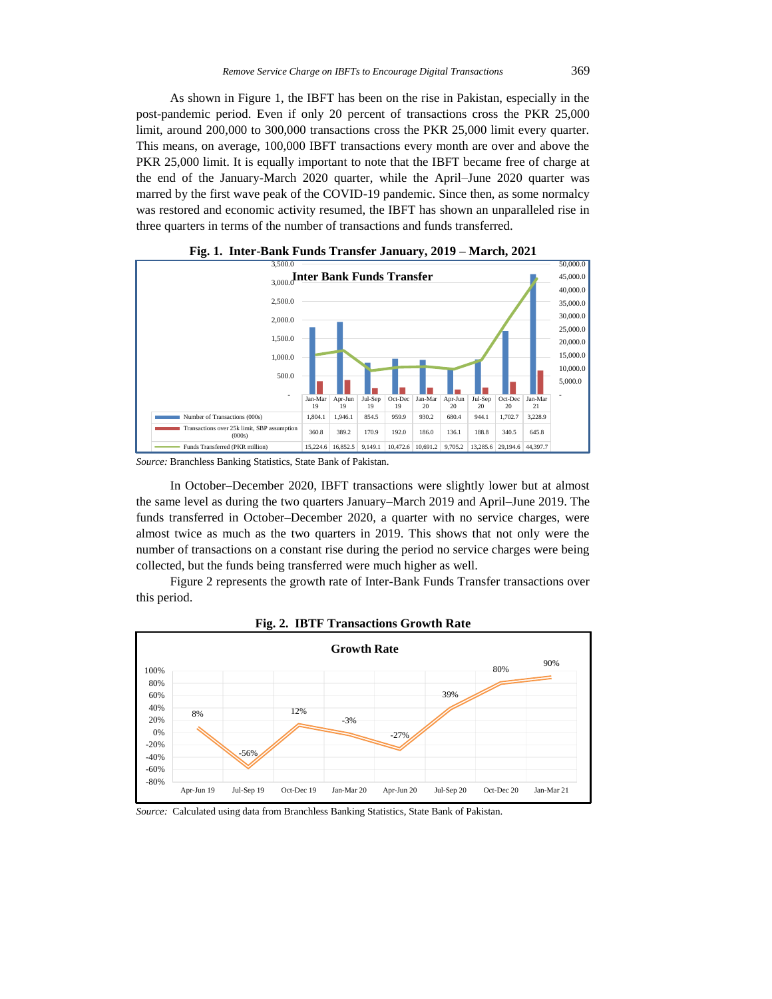As shown in Figure 1, the IBFT has been on the rise in Pakistan, especially in the post-pandemic period. Even if only 20 percent of transactions cross the PKR 25,000 limit, around 200,000 to 300,000 transactions cross the PKR 25,000 limit every quarter. This means, on average, 100,000 IBFT transactions every month are over and above the PKR 25,000 limit. It is equally important to note that the IBFT became free of charge at the end of the January-March 2020 quarter, while the April–June 2020 quarter was marred by the first wave peak of the COVID-19 pandemic. Since then, as some normalcy was restored and economic activity resumed, the IBFT has shown an unparalleled rise in three quarters in terms of the number of transactions and funds transferred.



**Fig. 1. Inter-Bank Funds Transfer January, 2019 – March, 2021**

In October–December 2020, IBFT transactions were slightly lower but at almost the same level as during the two quarters January–March 2019 and April–June 2019. The funds transferred in October–December 2020, a quarter with no service charges, were almost twice as much as the two quarters in 2019. This shows that not only were the number of transactions on a constant rise during the period no service charges were being collected, but the funds being transferred were much higher as well.

Figure 2 represents the growth rate of Inter-Bank Funds Transfer transactions over this period.



**Fig. 2. IBTF Transactions Growth Rate**

*Source:* Calculated using data from Branchless Banking Statistics, State Bank of Pakistan.

*Source:* Branchless Banking Statistics, State Bank of Pakistan.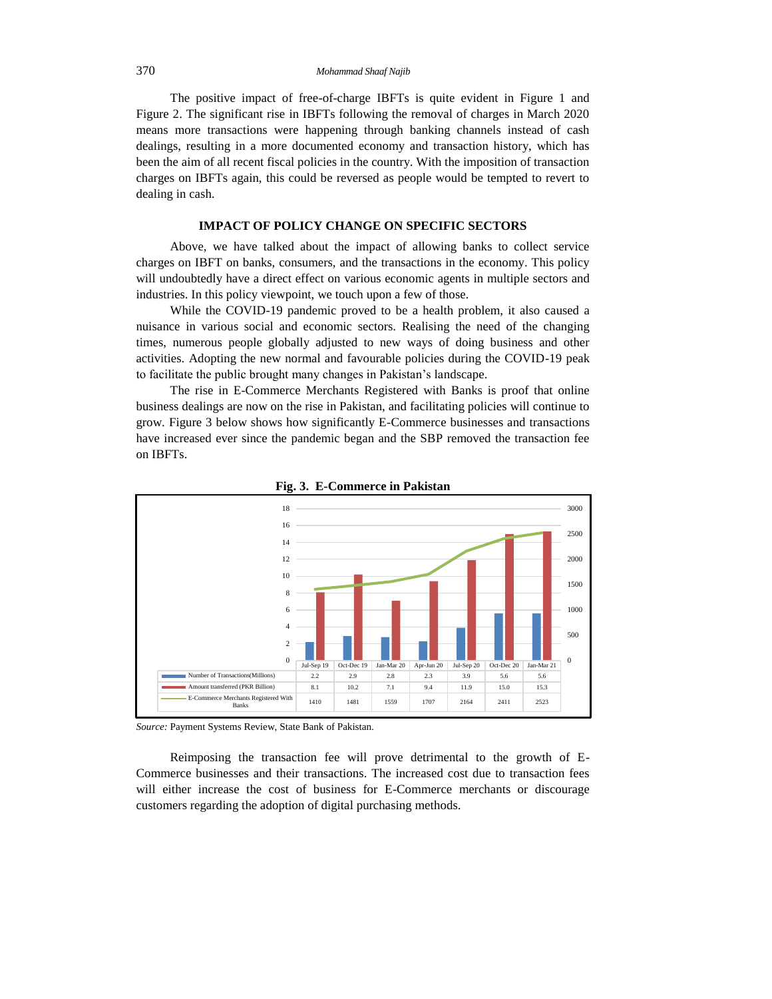The positive impact of free-of-charge IBFTs is quite evident in Figure 1 and Figure 2. The significant rise in IBFTs following the removal of charges in March 2020 means more transactions were happening through banking channels instead of cash dealings, resulting in a more documented economy and transaction history, which has been the aim of all recent fiscal policies in the country. With the imposition of transaction charges on IBFTs again, this could be reversed as people would be tempted to revert to dealing in cash.

# **IMPACT OF POLICY CHANGE ON SPECIFIC SECTORS**

Above, we have talked about the impact of allowing banks to collect service charges on IBFT on banks, consumers, and the transactions in the economy. This policy will undoubtedly have a direct effect on various economic agents in multiple sectors and industries. In this policy viewpoint, we touch upon a few of those.

While the COVID-19 pandemic proved to be a health problem, it also caused a nuisance in various social and economic sectors. Realising the need of the changing times, numerous people globally adjusted to new ways of doing business and other activities. Adopting the new normal and favourable policies during the COVID-19 peak to facilitate the public brought many changes in Pakistan's landscape.

The rise in E-Commerce Merchants Registered with Banks is proof that online business dealings are now on the rise in Pakistan, and facilitating policies will continue to grow. Figure 3 below shows how significantly E-Commerce businesses and transactions have increased ever since the pandemic began and the SBP removed the transaction fee on IBFTs.





*Source:* Payment Systems Review, State Bank of Pakistan.

Reimposing the transaction fee will prove detrimental to the growth of E-Commerce businesses and their transactions. The increased cost due to transaction fees will either increase the cost of business for E-Commerce merchants or discourage customers regarding the adoption of digital purchasing methods.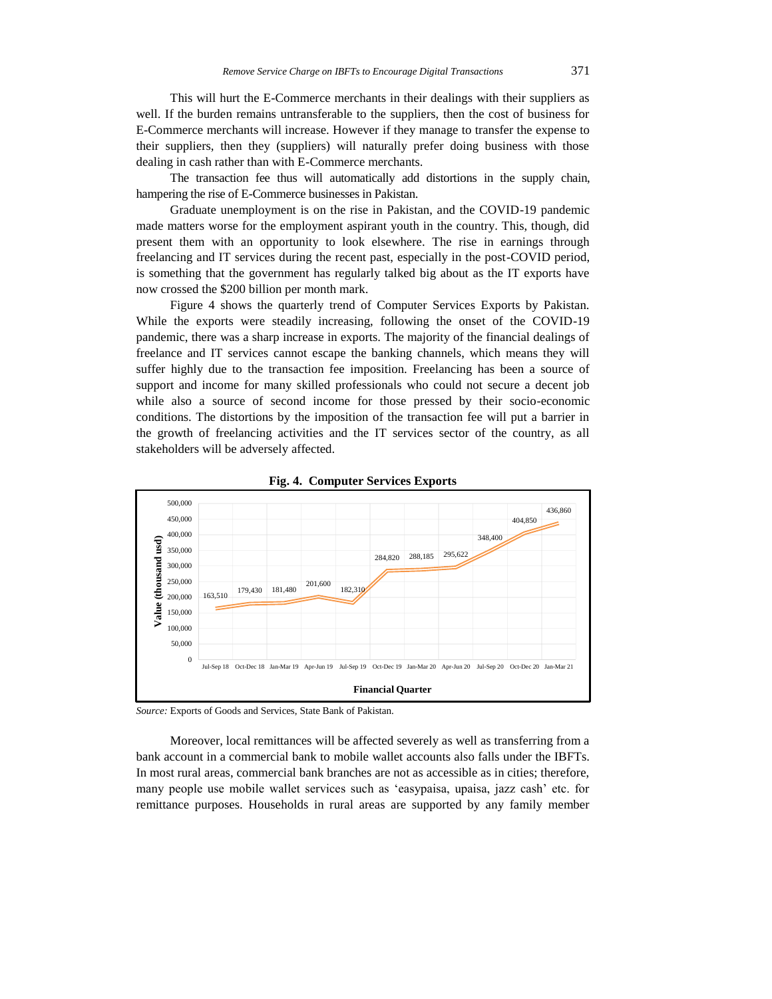This will hurt the E-Commerce merchants in their dealings with their suppliers as well. If the burden remains untransferable to the suppliers, then the cost of business for E-Commerce merchants will increase. However if they manage to transfer the expense to their suppliers, then they (suppliers) will naturally prefer doing business with those dealing in cash rather than with E-Commerce merchants.

The transaction fee thus will automatically add distortions in the supply chain, hampering the rise of E-Commerce businesses in Pakistan.

Graduate unemployment is on the rise in Pakistan, and the COVID-19 pandemic made matters worse for the employment aspirant youth in the country. This, though, did present them with an opportunity to look elsewhere. The rise in earnings through freelancing and IT services during the recent past, especially in the post-COVID period, is something that the government has regularly talked big about as the IT exports have now crossed the \$200 billion per month mark.

Figure 4 shows the quarterly trend of Computer Services Exports by Pakistan. While the exports were steadily increasing, following the onset of the COVID-19 pandemic, there was a sharp increase in exports. The majority of the financial dealings of freelance and IT services cannot escape the banking channels, which means they will suffer highly due to the transaction fee imposition. Freelancing has been a source of support and income for many skilled professionals who could not secure a decent job while also a source of second income for those pressed by their socio-economic conditions. The distortions by the imposition of the transaction fee will put a barrier in the growth of freelancing activities and the IT services sector of the country, as all stakeholders will be adversely affected.





*Source:* Exports of Goods and Services, State Bank of Pakistan.

Moreover, local remittances will be affected severely as well as transferring from a bank account in a commercial bank to mobile wallet accounts also falls under the IBFTs. In most rural areas, commercial bank branches are not as accessible as in cities; therefore, many people use mobile wallet services such as 'easypaisa, upaisa, jazz cash' etc. for remittance purposes. Households in rural areas are supported by any family member